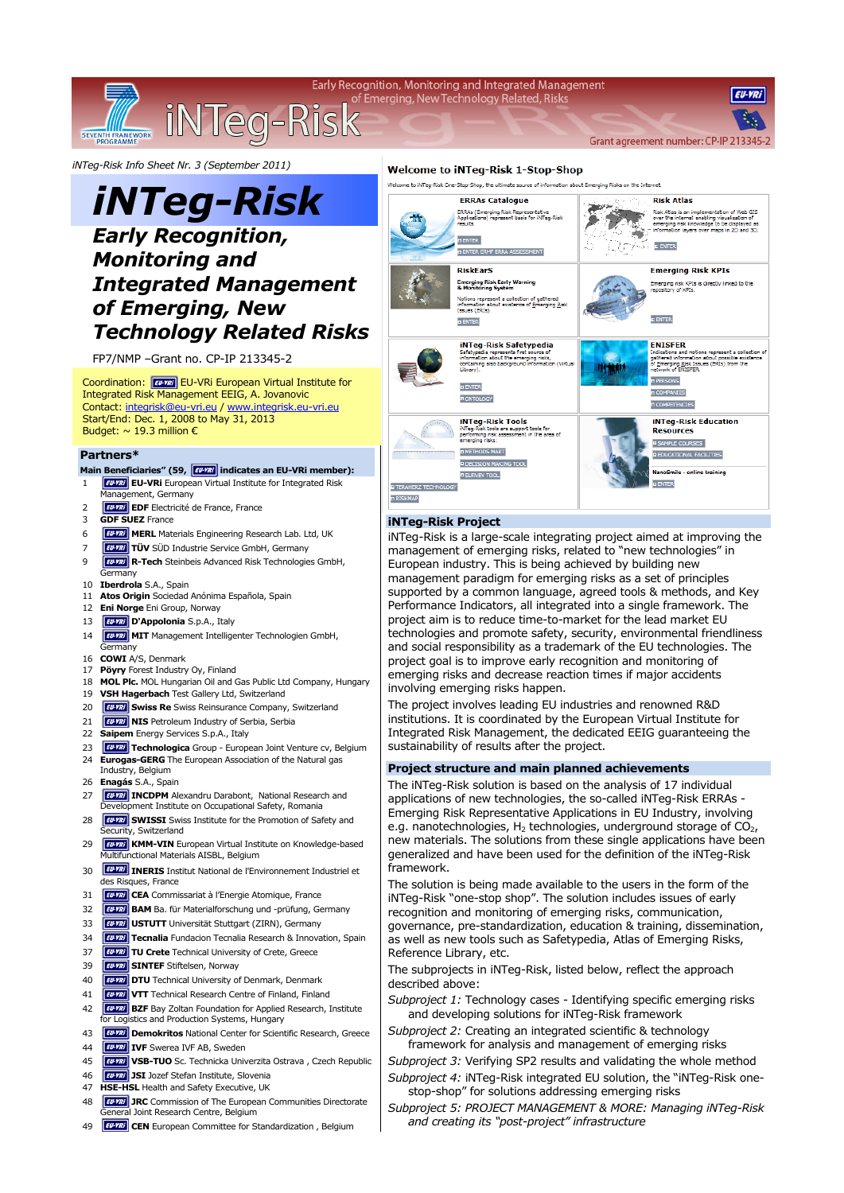iNTeg-Risk

Early Recognition, Monitoring and Integrated Management of Emerging, New Technology Related, Risks

Grant agreement number: CP-IP 213345

**EU-VRI** 

*iNTeg-Risk Info Sheet Nr. 3 (September 2011)* 

# *iNTeg-Risk*

## *Early Recognition, Monitoring and Integrated Management of Emerging, New Technology Related Risks*

FP7/NMP –Grant no. CP-IP 213345-2

Coordination: **EU-VRI** EU-VRI European Virtual Institute for Integrated Risk Management EEIG, A. Jovanovic Contact: integrisk@eu-vri.eu / www.integrisk.eu-vri.eu Start/End: Dec. 1, 2008 to May 31, 2013 Budget:  $\sim$  19.3 million  $\epsilon$ 

### **Partners\***

SEVENT

- Main Beneficiaries" (59, **FU-YRI** indicates an EU-VRi member):
- 1 **EU-VRi** EU-VRi European Virtual Institute for Integrated Risk
- Management, Germany **EU-VIII EDF** Electricité de France, France
- 
- 3 **GDF SUEZ** France
- 6 **FUNIT** MERL Materials Engineering Research Lab. Ltd, UK
- **TUV** SÜD Industrie Service GmbH, Germany
- 9 **R-Tech** Steinbeis Advanced Risk Technologies GmbH,
- Germany 10 **Iberdrola** S.A., Spain
- 11 **Atos Origin** Sociedad Anónima Española, Spain
- 12 **Eni Norge** Eni Group, Norway
- 
- 13 *EU-YRI* D'Appolonia S.p.A., Italy
- 14 **CU-YRI** MIT Management Intelligenter Technologien GmbH, **Germany**
- 16 **COWI** A/S, Denmark
- 17 **Pöyry** Forest Industry Oy, Finland
- 18 **MOL Plc.** MOL Hungarian Oil and Gas Public Ltd Company, Hungary
- 19 **VSH Hagerbach** Test Gallery Ltd, Switzerland
- 20 **FILM Swiss Re** Swiss Reinsurance Company, Switzerland
- 21 **EU-YRI** NIS Petroleum Industry of Serbia, Serbia
- 22 **Saipem** Energy Services S.p.A., Italy
- 23 **Furni** Technologica Group European Joint Venture cv, Belgium
- 24 **Eurogas-GERG** The European Association of the Natural gas
- Industry, Belgium
- 26 **Enagás** S.A., Spain
- 27 **IWW INCDPM** Alexandru Darabont, National Research and evelopment Institute on Occupational Safety, Romania
- 28 **FILM SWISSI** Swiss Institute for the Promotion of Safety and ecurity, Switzerland
- 29 **Furni KMM-VIN** European Virtual Institute on Knowledge-based Multifunctional Materials AISBL, Belgium
- 30 **EUVRI INERIS** Institut National de l'Environnement Industriel et des Risques, France
- 31 **CEA** Commissariat à l'Energie Atomique, France
- 32 **BAM** Ba. für Materialforschung und -prüfung, Germany
- 33 **USTUTT** Universität Stuttgart (ZIRN), Germany
- 34 **Fund** Tecnalia Fundacion Tecnalia Research & Innovation, Spain
- 37 **TU Crete** Technical University of Crete, Greece
- 39 **CU-YRI** SINTEF Stiftelsen, Norway
- 40 **COVER 19 DTU** Technical University of Denmark, Denmark
- 41 **VTT** Technical Research Centre of Finland, Finland
- 42 **BZF** Bay Zoltan Foundation for Applied Research, Institute
- for Logistics and Production Systems, Hungary
- 43 *EU-YRi* **Demokritos** National Center for Scientific Research, Greece
- 44 **IVF** Swerea IVF AB, Sweden
- 45 **WWW VSB-TUO** Sc. Technicka Univerzita Ostrava , Czech Republic
- 46 **JSI** Jozef Stefan Institute, Slovenia
- 47 **HSE-HSL** Health and Safety Executive, UK
- 48 **JULIE 19 JRC** Commission of The European Communities Directorate Joint Research Centre, Belgium
- 49 **CEN** European Committee for Standardization , Belgium

### **Welcome to iNTeg-Risk 1-Stop-Shop**

.<br>Welcome to iNTeo-Risk One-Stoo-Shoo, the ultimate source of information about Emerging Risks on the Internet



#### **iNTeg-Risk Project**

iNTeg-Risk is a large-scale integrating project aimed at improving the management of emerging risks, related to "new technologies" in European industry. This is being achieved by building new management paradigm for emerging risks as a set of principles supported by a common language, agreed tools & methods, and Key Performance Indicators, all integrated into a single framework. The project aim is to reduce time-to-market for the lead market EU technologies and promote safety, security, environmental friendliness and social responsibility as a trademark of the EU technologies. The project goal is to improve early recognition and monitoring of emerging risks and decrease reaction times if major accidents involving emerging risks happen.

The project involves leading EU industries and renowned R&D institutions. It is coordinated by the European Virtual Institute for Integrated Risk Management, the dedicated EEIG guaranteeing the sustainability of results after the project.

### **Project structure and main planned achievements**

The iNTeg-Risk solution is based on the analysis of 17 individual applications of new technologies, the so-called iNTeg-Risk ERRAs - Emerging Risk Representative Applications in EU Industry, involving e.g. nanotechnologies,  $H_2$  technologies, underground storage of  $CO<sub>2</sub>$ , new materials. The solutions from these single applications have been generalized and have been used for the definition of the iNTeg-Risk framework.

The solution is being made available to the users in the form of the iNTeg-Risk "one-stop shop". The solution includes issues of early recognition and monitoring of emerging risks, communication, governance, pre-standardization, education & training, dissemination, as well as new tools such as Safetypedia, Atlas of Emerging Risks, Reference Library, etc.

The subprojects in iNTeg-Risk, listed below, reflect the approach described above:

*Subproject 1:* Technology cases - Identifying specific emerging risks and developing solutions for iNTeg-Risk framework

*Subproject 2:* Creating an integrated scientific & technology framework for analysis and management of emerging risks

- *Subproject 3:* Verifying SP2 results and validating the whole method *Subproject 4:* iNTeg-Risk integrated EU solution, the "iNTeg-Risk onestop-shop" for solutions addressing emerging risks
- *Subproject 5: PROJECT MANAGEMENT & MORE: Managing iNTeg-Risk and creating its "post-project" infrastructure*